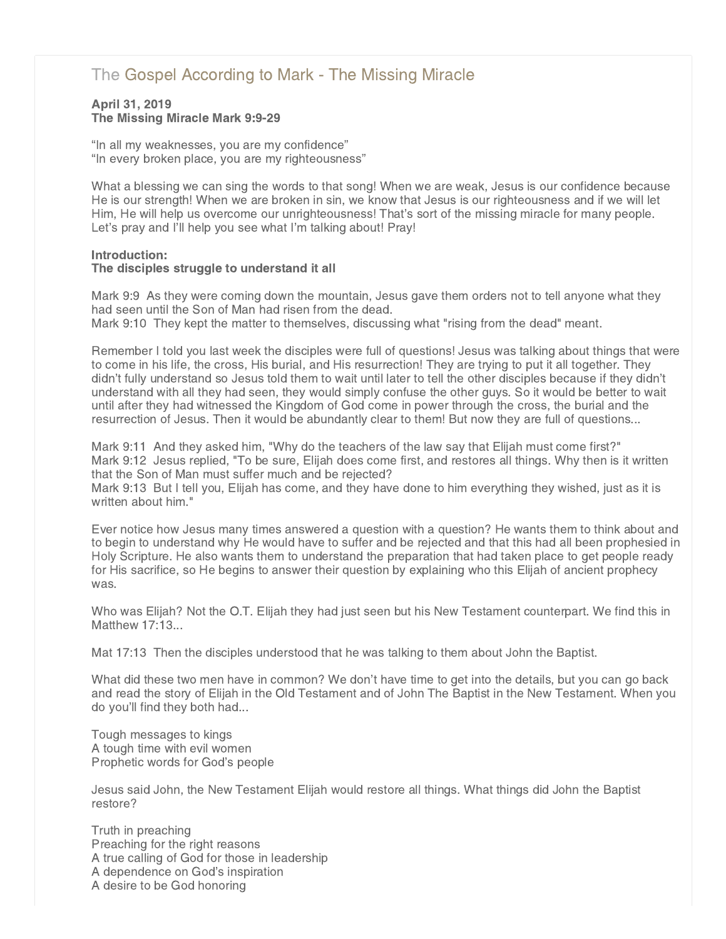# [The Gospel According to Mark - The Missing Miracle](http://northshorechurch.net/resources/sermons/sermon-notes/444-the-gospel-according-to-mark-the-missing-miracle)

## April 31, 2019 The Missing Miracle Mark 9:9-29

"In all my weaknesses, you are my confidence" "In every broken place, you are my righteousness"

What a blessing we can sing the words to that song! When we are weak, Jesus is our confidence because He is our strength! When we are broken in sin, we know that Jesus is our righteousness and if we will let Him, He will help us overcome our unrighteousness! That's sort of the missing miracle for many people. Let's pray and I'll help you see what I'm talking about! Pray!

# Introduction:

# The disciples struggle to understand it all

Mark 9:9 As they were coming down the mountain, Jesus gave them orders not to tell anyone what they had seen until the Son of Man had risen from the dead. Mark 9:10 They kept the matter to themselves, discussing what "rising from the dead" meant.

Remember I told you last week the disciples were full of questions! Jesus was talking about things that were to come in his life, the cross, His burial, and His resurrection! They are trying to put it all together. They didn't fully understand so Jesus told them to wait until later to tell the other disciples because if they didn't understand with all they had seen, they would simply confuse the other guys. So it would be better to wait until after they had witnessed the Kingdom of God come in power through the cross, the burial and the resurrection of Jesus. Then it would be abundantly clear to them! But now they are full of questions...

Mark 9:11 And they asked him, "Why do the teachers of the law say that Elijah must come first?" Mark 9:12 Jesus replied, "To be sure, Elijah does come first, and restores all things. Why then is it written that the Son of Man must suffer much and be rejected?

Mark 9:13 But I tell you, Elijah has come, and they have done to him everything they wished, just as it is written about him."

Ever notice how Jesus many times answered a question with a question? He wants them to think about and to begin to understand why He would have to suffer and be rejected and that this had all been prophesied in Holy Scripture. He also wants them to understand the preparation that had taken place to get people ready for His sacrifice, so He begins to answer their question by explaining who this Elijah of ancient prophecy was.

Who was Elijah? Not the O.T. Elijah they had just seen but his New Testament counterpart. We find this in Matthew 17:13...

Mat 17:13 Then the disciples understood that he was talking to them about John the Baptist.

What did these two men have in common? We don't have time to get into the details, but you can go back and read the story of Elijah in the Old Testament and of John The Baptist in the New Testament. When you do you'll find they both had...

Tough messages to kings A tough time with evil women Prophetic words for God's people

Jesus said John, the New Testament Elijah would restore all things. What things did John the Baptist restore?

Truth in preaching Preaching for the right reasons A true calling of God for those in leadership A dependence on God's inspiration A desire to be God honoring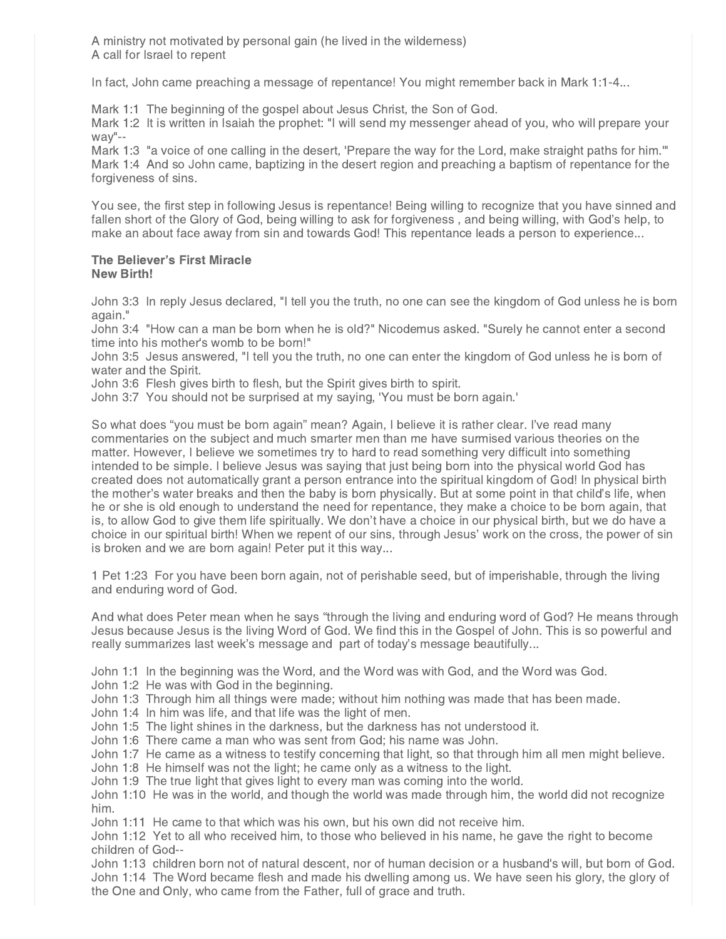A ministry not motivated by personal gain (he lived in the wilderness) A call for Israel to repent

In fact, John came preaching a message of repentance! You might remember back in Mark 1:1-4...

Mark 1:1 The beginning of the gospel about Jesus Christ, the Son of God.

Mark 1:2 It is written in Isaiah the prophet: "I will send my messenger ahead of you, who will prepare your way"--

Mark 1:3 "a voice of one calling in the desert, 'Prepare the way for the Lord, make straight paths for him.'" Mark 1:4 And so John came, baptizing in the desert region and preaching a baptism of repentance for the forgiveness of sins.

You see, the first step in following Jesus is repentance! Being willing to recognize that you have sinned and fallen short of the Glory of God, being willing to ask for forgiveness , and being willing, with God's help, to make an about face away from sin and towards God! This repentance leads a person to experience...

#### The Believer's First Miracle New Birth!

John 3:3 In reply Jesus declared, "I tell you the truth, no one can see the kingdom of God unless he is born again."

John 3:4 "How can a man be born when he is old?" Nicodemus asked. "Surely he cannot enter a second time into his mother's womb to be born!"

John 3:5 Jesus answered, "I tell you the truth, no one can enter the kingdom of God unless he is born of water and the Spirit.

John 3:6 Flesh gives birth to flesh, but the Spirit gives birth to spirit.

John 3:7 You should not be surprised at my saying, 'You must be born again.'

So what does "you must be born again" mean? Again, I believe it is rather clear. I've read many commentaries on the subject and much smarter men than me have surmised various theories on the matter. However, I believe we sometimes try to hard to read something very difficult into something intended to be simple. I believe Jesus was saying that just being born into the physical world God has created does not automatically grant a person entrance into the spiritual kingdom of God! In physical birth the mother's water breaks and then the baby is born physically. But at some point in that child's life, when he or she is old enough to understand the need for repentance, they make a choice to be born again, that is, to allow God to give them life spiritually. We don't have a choice in our physical birth, but we do have a choice in our spiritual birth! When we repent of our sins, through Jesus' work on the cross, the power of sin is broken and we are born again! Peter put it this way...

1 Pet 1:23 For you have been born again, not of perishable seed, but of imperishable, through the living and enduring word of God.

And what does Peter mean when he says "through the living and enduring word of God? He means through Jesus because Jesus is the living Word of God. We find this in the Gospel of John. This is so powerful and really summarizes last week's message and part of today's message beautifully...

John 1:1 In the beginning was the Word, and the Word was with God, and the Word was God.

John 1:2 He was with God in the beginning.

John 1:3 Through him all things were made; without him nothing was made that has been made.

John 1:4 In him was life, and that life was the light of men.

John 1:5 The light shines in the darkness, but the darkness has not understood it.

John 1:6 There came a man who was sent from God; his name was John.

John 1:7 He came as a witness to testify concerning that light, so that through him all men might believe.

John 1:8 He himself was not the light; he came only as a witness to the light.

John 1:9 The true light that gives light to every man was coming into the world.

John 1:10 He was in the world, and though the world was made through him, the world did not recognize him.

John 1:11 He came to that which was his own, but his own did not receive him.

John 1:12 Yet to all who received him, to those who believed in his name, he gave the right to become children of God--

John 1:13 children born not of natural descent, nor of human decision or a husband's will, but born of God. John 1:14 The Word became flesh and made his dwelling among us. We have seen his glory, the glory of the One and Only, who came from the Father, full of grace and truth.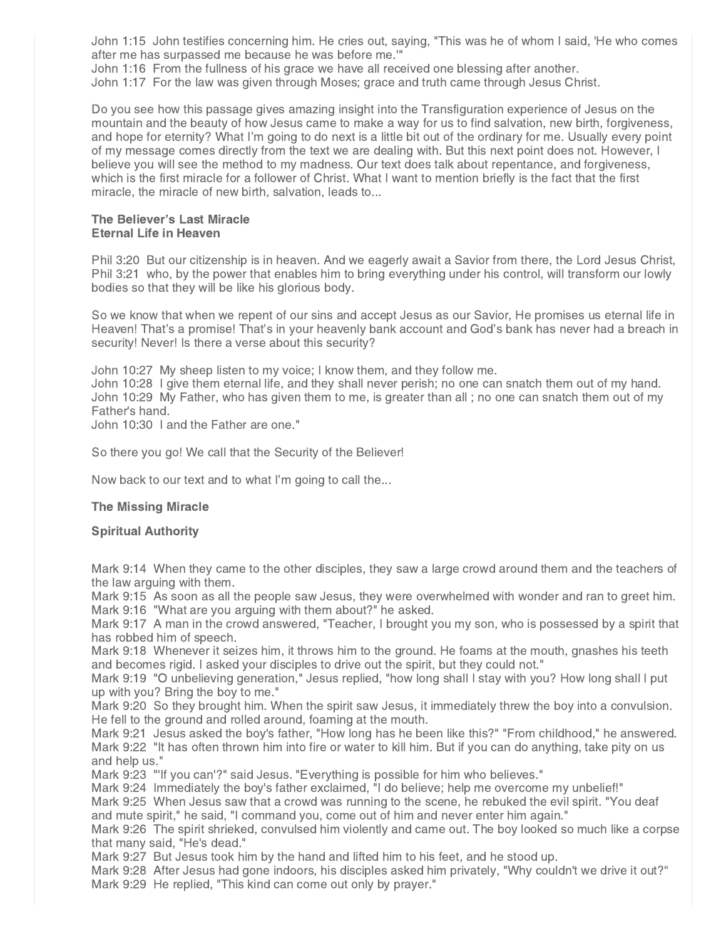John 1:15 John testifies concerning him. He cries out, saying, "This was he of whom I said, 'He who comes after me has surpassed me because he was before me.'"

John 1:16 From the fullness of his grace we have all received one blessing after another.

John 1:17 For the law was given through Moses; grace and truth came through Jesus Christ.

Do you see how this passage gives amazing insight into the Transfiguration experience of Jesus on the mountain and the beauty of how Jesus came to make a way for us to find salvation, new birth, forgiveness, and hope for eternity? What I'm going to do next is a little bit out of the ordinary for me. Usually every point of my message comes directly from the text we are dealing with. But this next point does not. However, I believe you will see the method to my madness. Our text does talk about repentance, and forgiveness, which is the first miracle for a follower of Christ. What I want to mention briefly is the fact that the first miracle, the miracle of new birth, salvation, leads to...

#### The Believer's Last Miracle Eternal Life in Heaven

Phil 3:20 But our citizenship is in heaven. And we eagerly await a Savior from there, the Lord Jesus Christ, Phil 3:21 who, by the power that enables him to bring everything under his control, will transform our lowly bodies so that they will be like his glorious body.

So we know that when we repent of our sins and accept Jesus as our Savior, He promises us eternal life in Heaven! That's a promise! That's in your heavenly bank account and God's bank has never had a breach in security! Never! Is there a verse about this security?

John 10:27 My sheep listen to my voice; I know them, and they follow me.

John 10:28 I give them eternal life, and they shall never perish; no one can snatch them out of my hand. John 10:29 My Father, who has given them to me, is greater than all ; no one can snatch them out of my Father's hand.

John 10:30 I and the Father are one."

So there you go! We call that the Security of the Believer!

Now back to our text and to what I'm going to call the...

### The Missing Miracle

### Spiritual Authority

Mark 9:14 When they came to the other disciples, they saw a large crowd around them and the teachers of the law arguing with them.

Mark 9:15 As soon as all the people saw Jesus, they were overwhelmed with wonder and ran to greet him. Mark 9:16 "What are you arguing with them about?" he asked.

Mark 9:17 A man in the crowd answered, "Teacher, I brought you my son, who is possessed by a spirit that has robbed him of speech.

Mark 9:18 Whenever it seizes him, it throws him to the ground. He foams at the mouth, gnashes his teeth and becomes rigid. I asked your disciples to drive out the spirit, but they could not."

Mark 9:19 "O unbelieving generation," Jesus replied, "how long shall I stay with you? How long shall I put up with you? Bring the boy to me."

Mark 9:20 So they brought him. When the spirit saw Jesus, it immediately threw the boy into a convulsion. He fell to the ground and rolled around, foaming at the mouth.

Mark 9:21 Jesus asked the boy's father, "How long has he been like this?" "From childhood," he answered. Mark 9:22 "It has often thrown him into fire or water to kill him. But if you can do anything, take pity on us and help us."

Mark 9:23 "'If you can'?" said Jesus. "Everything is possible for him who believes."

Mark 9:24 Immediately the boy's father exclaimed, "I do believe; help me overcome my unbelief!"

Mark 9:25 When Jesus saw that a crowd was running to the scene, he rebuked the evil spirit. "You deaf and mute spirit," he said, "I command you, come out of him and never enter him again."

Mark 9:26 The spirit shrieked, convulsed him violently and came out. The boy looked so much like a corpse that many said, "He's dead."

Mark 9:27 But Jesus took him by the hand and lifted him to his feet, and he stood up.

Mark 9:28 After Jesus had gone indoors, his disciples asked him privately, "Why couldn't we drive it out?" Mark 9:29 He replied, "This kind can come out only by prayer."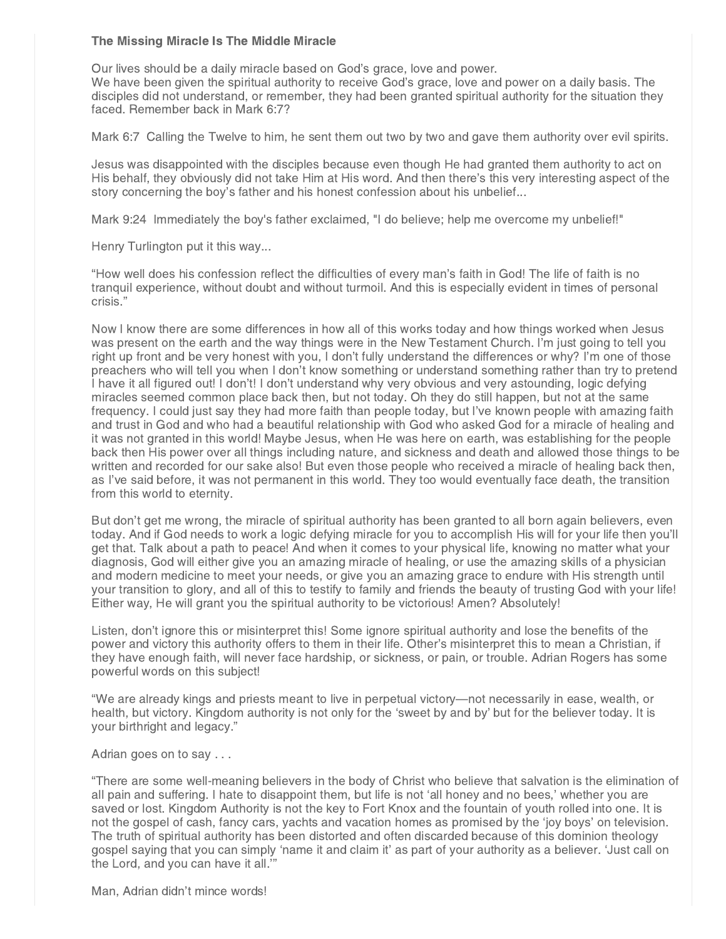### The Missing Miracle Is The Middle Miracle

Our lives should be a daily miracle based on God's grace, love and power.

We have been given the spiritual authority to receive God's grace, love and power on a daily basis. The disciples did not understand, or remember, they had been granted spiritual authority for the situation they faced. Remember back in Mark 6:7?

Mark 6:7 Calling the Twelve to him, he sent them out two by two and gave them authority over evil spirits.

Jesus was disappointed with the disciples because even though He had granted them authority to act on His behalf, they obviously did not take Him at His word. And then there's this very interesting aspect of the story concerning the boy's father and his honest confession about his unbelief...

Mark 9:24 Immediately the boy's father exclaimed, "I do believe; help me overcome my unbelief!"

Henry Turlington put it this way...

"How well does his confession reflect the difficulties of every man's faith in God! The life of faith is no tranquil experience, without doubt and without turmoil. And this is especially evident in times of personal crisis."

Now I know there are some differences in how all of this works today and how things worked when Jesus was present on the earth and the way things were in the New Testament Church. I'm just going to tell you right up front and be very honest with you, I don't fully understand the differences or why? I'm one of those preachers who will tell you when I don't know something or understand something rather than try to pretend I have it all figured out! I don't! I don't understand why very obvious and very astounding, logic defying miracles seemed common place back then, but not today. Oh they do still happen, but not at the same frequency. I could just say they had more faith than people today, but I've known people with amazing faith and trust in God and who had a beautiful relationship with God who asked God for a miracle of healing and it was not granted in this world! Maybe Jesus, when He was here on earth, was establishing for the people back then His power over all things including nature, and sickness and death and allowed those things to be written and recorded for our sake also! But even those people who received a miracle of healing back then, as I've said before, it was not permanent in this world. They too would eventually face death, the transition from this world to eternity.

But don't get me wrong, the miracle of spiritual authority has been granted to all born again believers, even today. And if God needs to work a logic defying miracle for you to accomplish His will for your life then you'll get that. Talk about a path to peace! And when it comes to your physical life, knowing no matter what your diagnosis, God will either give you an amazing miracle of healing, or use the amazing skills of a physician and modern medicine to meet your needs, or give you an amazing grace to endure with His strength until your transition to glory, and all of this to testify to family and friends the beauty of trusting God with your life! Either way, He will grant you the spiritual authority to be victorious! Amen? Absolutely!

Listen, don't ignore this or misinterpret this! Some ignore spiritual authority and lose the benefits of the power and victory this authority offers to them in their life. Other's misinterpret this to mean a Christian, if they have enough faith, will never face hardship, or sickness, or pain, or trouble. Adrian Rogers has some powerful words on this subject!

"We are already kings and priests meant to live in perpetual victory—not necessarily in ease, wealth, or health, but victory. Kingdom authority is not only for the 'sweet by and by' but for the believer today. It is your birthright and legacy."

Adrian goes on to say . . .

"There are some well-meaning believers in the body of Christ who believe that salvation is the elimination of all pain and suffering. I hate to disappoint them, but life is not 'all honey and no bees,' whether you are saved or lost. Kingdom Authority is not the key to Fort Knox and the fountain of youth rolled into one. It is not the gospel of cash, fancy cars, yachts and vacation homes as promised by the 'joy boys' on television. The truth of spiritual authority has been distorted and often discarded because of this dominion theology gospel saying that you can simply 'name it and claim it' as part of your authority as a believer. 'Just call on the Lord, and you can have it all.'"

Man, Adrian didn't mince words!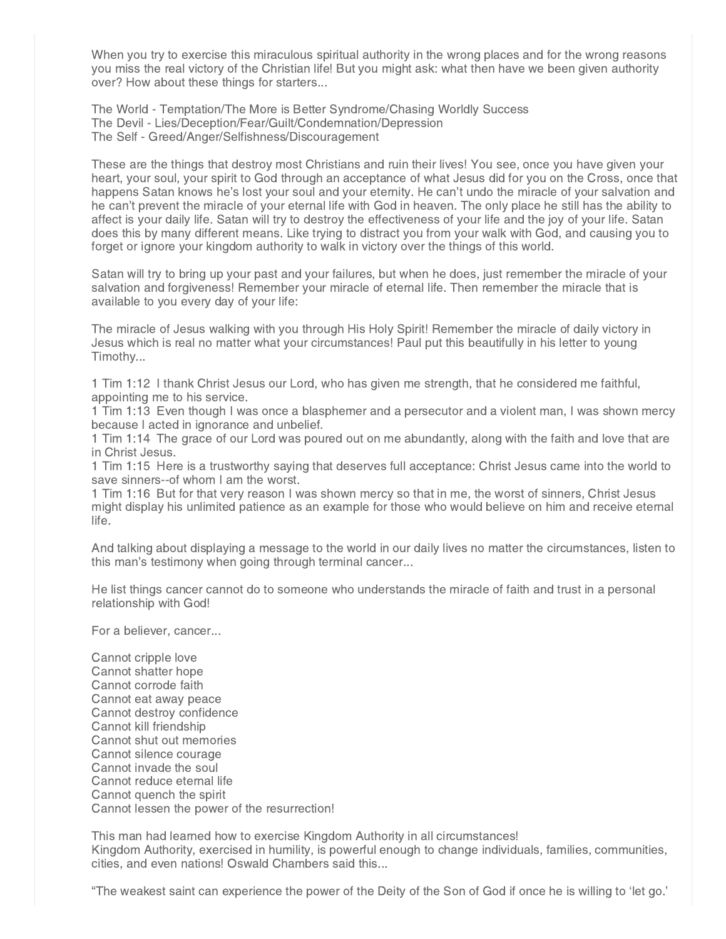When you try to exercise this miraculous spiritual authority in the wrong places and for the wrong reasons you miss the real victory of the Christian life! But you might ask: what then have we been given authority over? How about these things for starters...

The World - Temptation/The More is Better Syndrome/Chasing Worldly Success The Devil - Lies/Deception/Fear/Guilt/Condemnation/Depression The Self - Greed/Anger/Selfishness/Discouragement

These are the things that destroy most Christians and ruin their lives! You see, once you have given your heart, your soul, your spirit to God through an acceptance of what Jesus did for you on the Cross, once that happens Satan knows he's lost your soul and your eternity. He can't undo the miracle of your salvation and he can't prevent the miracle of your eternal life with God in heaven. The only place he still has the ability to affect is your daily life. Satan will try to destroy the effectiveness of your life and the joy of your life. Satan does this by many different means. Like trying to distract you from your walk with God, and causing you to forget or ignore your kingdom authority to walk in victory over the things of this world.

Satan will try to bring up your past and your failures, but when he does, just remember the miracle of your salvation and forgiveness! Remember your miracle of eternal life. Then remember the miracle that is available to you every day of your life:

The miracle of Jesus walking with you through His Holy Spirit! Remember the miracle of daily victory in Jesus which is real no matter what your circumstances! Paul put this beautifully in his letter to young Timothy...

1 Tim 1:12 I thank Christ Jesus our Lord, who has given me strength, that he considered me faithful, appointing me to his service.

1 Tim 1:13 Even though I was once a blasphemer and a persecutor and a violent man, I was shown mercy because I acted in ignorance and unbelief.

1 Tim 1:14 The grace of our Lord was poured out on me abundantly, along with the faith and love that are in Christ Jesus.

1 Tim 1:15 Here is a trustworthy saying that deserves full acceptance: Christ Jesus came into the world to save sinners--of whom I am the worst.

1 Tim 1:16 But for that very reason I was shown mercy so that in me, the worst of sinners, Christ Jesus might display his unlimited patience as an example for those who would believe on him and receive eternal life.

And talking about displaying a message to the world in our daily lives no matter the circumstances, listen to this man's testimony when going through terminal cancer...

He list things cancer cannot do to someone who understands the miracle of faith and trust in a personal relationship with God!

For a believer, cancer...

Cannot cripple love Cannot shatter hope Cannot corrode faith Cannot eat away peace Cannot destroy confidence Cannot kill friendship Cannot shut out memories Cannot silence courage Cannot invade the soul Cannot reduce eternal life Cannot quench the spirit Cannot lessen the power of the resurrection!

This man had learned how to exercise Kingdom Authority in all circumstances! Kingdom Authority, exercised in humility, is powerful enough to change individuals, families, communities, cities, and even nations! Oswald Chambers said this...

"The weakest saint can experience the power of the Deity of the Son of God if once he is willing to 'let go.'